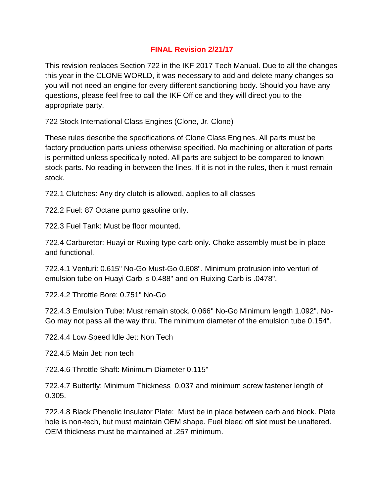## **FINAL Revision 2/21/17**

This revision replaces Section 722 in the IKF 2017 Tech Manual. Due to all the changes this year in the CLONE WORLD, it was necessary to add and delete many changes so you will not need an engine for every different sanctioning body. Should you have any questions, please feel free to call the IKF Office and they will direct you to the appropriate party.

722 Stock International Class Engines (Clone, Jr. Clone)

These rules describe the specifications of Clone Class Engines. All parts must be factory production parts unless otherwise specified. No machining or alteration of parts is permitted unless specifically noted. All parts are subject to be compared to known stock parts. No reading in between the lines. If it is not in the rules, then it must remain stock.

722.1 Clutches: Any dry clutch is allowed, applies to all classes

722.2 Fuel: 87 Octane pump gasoline only.

722.3 Fuel Tank: Must be floor mounted.

722.4 Carburetor: Huayi or Ruxing type carb only. Choke assembly must be in place and functional.

722.4.1 Venturi: 0.615" No-Go Must-Go 0.608". Minimum protrusion into venturi of emulsion tube on Huayi Carb is 0.488" and on Ruixing Carb is .0478".

722.4.2 Throttle Bore: 0.751" No-Go

722.4.3 Emulsion Tube: Must remain stock. 0.066" No-Go Minimum length 1.092". No-Go may not pass all the way thru. The minimum diameter of the emulsion tube 0.154".

722.4.4 Low Speed Idle Jet: Non Tech

722.4.5 Main Jet: non tech

722.4.6 Throttle Shaft: Minimum Diameter 0.115"

722.4.7 Butterfly: Minimum Thickness 0.037 and minimum screw fastener length of 0.305.

722.4.8 Black Phenolic Insulator Plate: Must be in place between carb and block. Plate hole is non-tech, but must maintain OEM shape. Fuel bleed off slot must be unaltered. OEM thickness must be maintained at .257 minimum.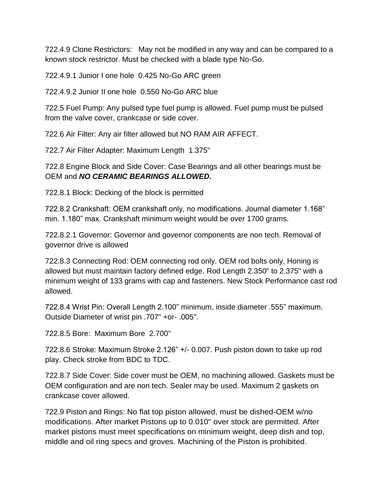722.4.9 Clone Restrictors: May not be modified in any way and can be compared to a known stock restrictor. Must be checked with a blade type No-Go.

722.4.9.1 Junior I one hole 0.425 No-Go ARC green

722.4.9.2 Junior II one hole 0.550 No-Go ARC blue

722.5 Fuel Pump: Any pulsed type fuel pump is allowed. Fuel pump must be pulsed from the valve cover, crankcase or side cover.

722.6 Air Filter: Any air filter allowed but NO RAM AIR AFFECT.

722.7 Air Filter Adapter: Maximum Length 1.375"

722.8 Engine Block and Side Cover: Case Bearings and all other bearings must be OEM and *NO CERAMIC BEARINGS ALLOWED.*

722.8.1 Block: Decking of the block is permitted

722.8.2 Crankshaft: OEM crankshaft only, no modifications. Journal diameter 1.168" min. 1.180" max. Crankshaft minimum weight would be over 1700 grams.

722.8.2.1 Governor: Governor and governor components are non tech. Removal of governor drive is allowed

722.8.3 Connecting Rod: OEM connecting rod only. OEM rod bolts only. Honing is allowed but must maintain factory defined edge. Rod Length 2.350" to 2.375" with a minimum weight of 133 grams with cap and fasteners. New Stock Performance cast rod allowed.

722.8.4 Wrist Pin: Overall Length 2.100" minimum, inside diameter .555" maximum. Outside Diameter of wrist pin .707" +or- .005".

722.8.5 Bore: Maximum Bore 2.700"

722.8.6 Stroke: Maximum Stroke 2.126" +/- 0.007. Push piston down to take up rod play. Check stroke from BDC to TDC.

722.8.7 Side Cover: Side cover must be OEM, no machining allowed. Gaskets must be OEM configuration and are non tech. Sealer may be used. Maximum 2 gaskets on crankcase cover allowed.

722.9 Piston and Rings: No flat top piston allowed, must be dished-OEM w/no modifications. After market Pistons up to 0.010" over stock are permitted. After market pistons must meet specifications on minimum weight, deep dish and top, middle and oil ring specs and groves. Machining of the Piston is prohibited.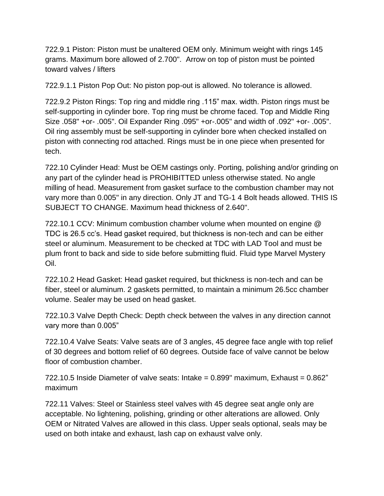722.9.1 Piston: Piston must be unaltered OEM only. Minimum weight with rings 145 grams. Maximum bore allowed of 2.700". Arrow on top of piston must be pointed toward valves / lifters

722.9.1.1 Piston Pop Out: No piston pop-out is allowed. No tolerance is allowed.

722.9.2 Piston Rings: Top ring and middle ring .115" max. width. Piston rings must be self-supporting in cylinder bore. Top ring must be chrome faced. Top and Middle Ring Size .058" +or- .005". Oil Expander Ring .095" +or-.005" and width of .092" +or- .005". Oil ring assembly must be self-supporting in cylinder bore when checked installed on piston with connecting rod attached. Rings must be in one piece when presented for tech.

722.10 Cylinder Head: Must be OEM castings only. Porting, polishing and/or grinding on any part of the cylinder head is PROHIBITTED unless otherwise stated. No angle milling of head. Measurement from gasket surface to the combustion chamber may not vary more than 0.005" in any direction. Only JT and TG-1 4 Bolt heads allowed. THIS IS SUBJECT TO CHANGE. Maximum head thickness of 2.640".

722.10.1 CCV: Minimum combustion chamber volume when mounted on engine @ TDC is 26.5 cc's. Head gasket required, but thickness is non-tech and can be either steel or aluminum. Measurement to be checked at TDC with LAD Tool and must be plum front to back and side to side before submitting fluid. Fluid type Marvel Mystery Oil.

722.10.2 Head Gasket: Head gasket required, but thickness is non-tech and can be fiber, steel or aluminum. 2 gaskets permitted, to maintain a minimum 26.5cc chamber volume. Sealer may be used on head gasket.

722.10.3 Valve Depth Check: Depth check between the valves in any direction cannot vary more than 0.005"

722.10.4 Valve Seats: Valve seats are of 3 angles, 45 degree face angle with top relief of 30 degrees and bottom relief of 60 degrees. Outside face of valve cannot be below floor of combustion chamber.

 $722.10.5$  Inside Diameter of valve seats: Intake =  $0.899$ " maximum, Exhaust =  $0.862$ " maximum

722.11 Valves: Steel or Stainless steel valves with 45 degree seat angle only are acceptable. No lightening, polishing, grinding or other alterations are allowed. Only OEM or Nitrated Valves are allowed in this class. Upper seals optional, seals may be used on both intake and exhaust, lash cap on exhaust valve only.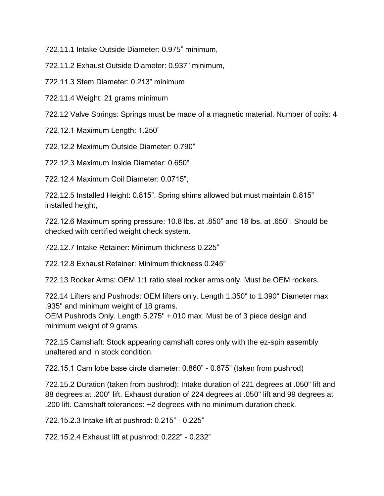722.11.1 Intake Outside Diameter: 0.975" minimum,

722.11.2 Exhaust Outside Diameter: 0.937" minimum,

722.11.3 Stem Diameter: 0.213" minimum

722.11.4 Weight: 21 grams minimum

722.12 Valve Springs: Springs must be made of a magnetic material. Number of coils: 4

722.12.1 Maximum Length: 1.250"

722.12.2 Maximum Outside Diameter: 0.790"

722.12.3 Maximum Inside Diameter: 0.650"

722.12.4 Maximum Coil Diameter: 0.0715",

722.12.5 Installed Height: 0.815". Spring shims allowed but must maintain 0.815" installed height,

722.12.6 Maximum spring pressure: 10.8 lbs. at .850" and 18 lbs. at .650". Should be checked with certified weight check system.

722.12.7 Intake Retainer: Minimum thickness 0.225"

722.12.8 Exhaust Retainer: Minimum thickness 0.245"

722.13 Rocker Arms: OEM 1:1 ratio steel rocker arms only. Must be OEM rockers.

722.14 Lifters and Pushrods: OEM lifters only. Length 1.350" to 1.390" Diameter max .935" and minimum weight of 18 grams.

OEM Pushrods Only. Length 5.275" +.010 max. Must be of 3 piece design and minimum weight of 9 grams.

722.15 Camshaft: Stock appearing camshaft cores only with the ez-spin assembly unaltered and in stock condition.

722.15.1 Cam lobe base circle diameter: 0.860" - 0.875" (taken from pushrod)

722.15.2 Duration (taken from pushrod): Intake duration of 221 degrees at .050" lift and 88 degrees at .200" lift. Exhaust duration of 224 degrees at .050" lift and 99 degrees at .200 lift. Camshaft tolerances: +2 degrees with no minimum duration check.

722.15.2.3 Intake lift at pushrod: 0.215" - 0.225"

722.15.2.4 Exhaust lift at pushrod: 0.222" - 0.232"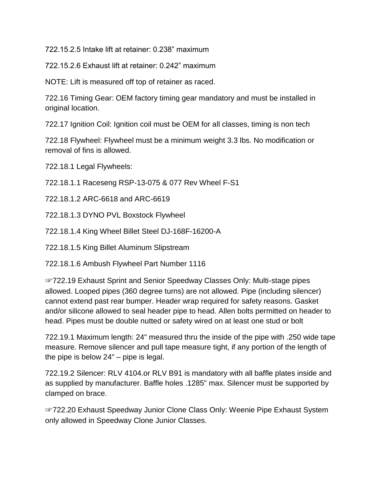722.15.2.5 Intake lift at retainer: 0.238" maximum

722.15.2.6 Exhaust lift at retainer: 0.242" maximum

NOTE: Lift is measured off top of retainer as raced.

722.16 Timing Gear: OEM factory timing gear mandatory and must be installed in original location.

722.17 Ignition Coil: Ignition coil must be OEM for all classes, timing is non tech

722.18 Flywheel: Flywheel must be a minimum weight 3.3 lbs. No modification or removal of fins is allowed.

722.18.1 Legal Flywheels:

722.18.1.1 Raceseng RSP-13-075 & 077 Rev Wheel F-S1

722.18.1.2 ARC-6618 and ARC-6619

722.18.1.3 DYNO PVL Boxstock Flywheel

722.18.1.4 King Wheel Billet Steel DJ-168F-16200-A

722.18.1.5 King Billet Aluminum Slipstream

722.18.1.6 Ambush Flywheel Part Number 1116

☞722.19 Exhaust Sprint and Senior Speedway Classes Only: Multi-stage pipes allowed. Looped pipes (360 degree turns) are not allowed. Pipe (including silencer) cannot extend past rear bumper. Header wrap required for safety reasons. Gasket and/or silicone allowed to seal header pipe to head. Allen bolts permitted on header to head. Pipes must be double nutted or safety wired on at least one stud or bolt

722.19.1 Maximum length: 24" measured thru the inside of the pipe with .250 wide tape measure. Remove silencer and pull tape measure tight, if any portion of the length of the pipe is below 24" – pipe is legal.

722.19.2 Silencer: RLV 4104.or RLV B91 is mandatory with all baffle plates inside and as supplied by manufacturer. Baffle holes .1285" max. Silencer must be supported by clamped on brace.

☞722.20 Exhaust Speedway Junior Clone Class Only: Weenie Pipe Exhaust System only allowed in Speedway Clone Junior Classes.